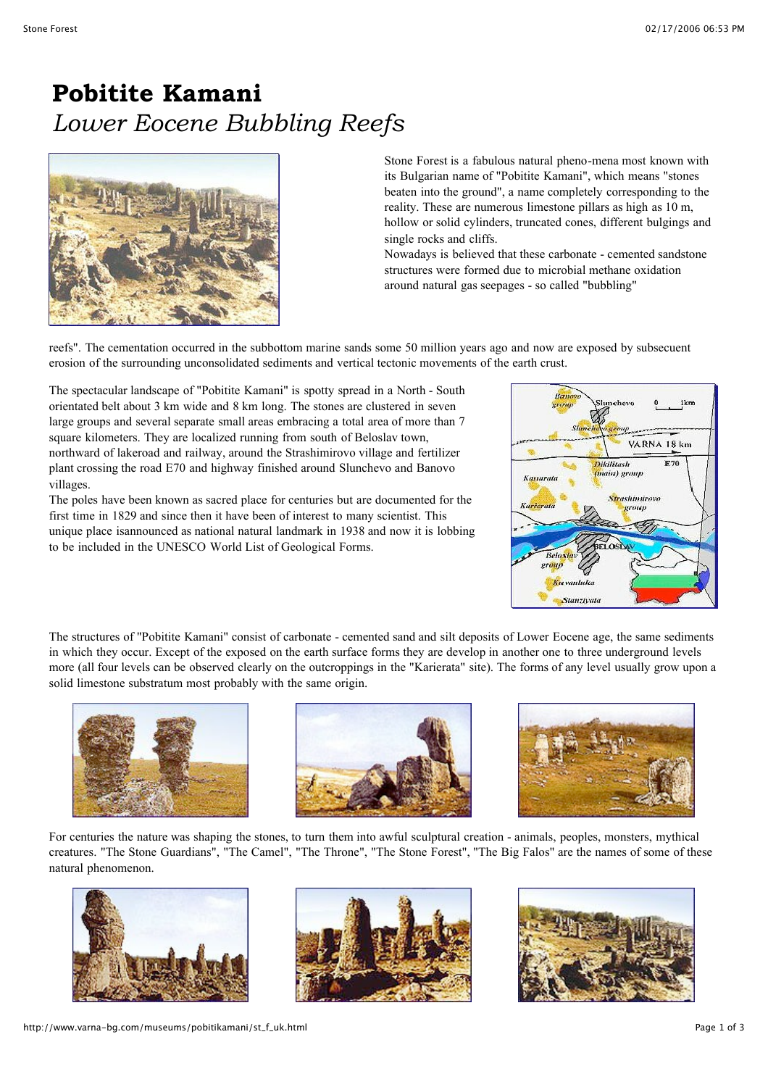## **Pobitite Kamani** *Lower Eocene Bubbling Reefs*



Stone Forest is a fabulous natural pheno-mena most known with its Bulgarian name of "Pobitite Kamani", which means "stones beaten into the ground", a name completely corresponding to the reality. These are numerous limestone pillars as high as 10 m, hollow or solid cylinders, truncated cones, different bulgings and single rocks and cliffs.

Nowadays is believed that these carbonate - cemented sandstone structures were formed due to microbial methane oxidation around natural gas seepages - so called "bubbling"

reefs". The cementation occurred in the subbottom marine sands some 50 million years ago and now are exposed by subsecuent erosion of the surrounding unconsolidated sediments and vertical tectonic movements of the earth crust.

The spectacular landscape of "Pobitite Kamani" is spotty spread in a North - South orientated belt about 3 km wide and 8 km long. The stones are clustered in seven large groups and several separate small areas embracing a total area of more than 7 square kilometers. They are localized running from south of Beloslav town, northward of lakeroad and railway, around the Strashimirovo village and fertilizer plant crossing the road E70 and highway finished around Slunchevo and Banovo villages.

The poles have been known as sacred place for centuries but are documented for the first time in 1829 and since then it have been of interest to many scientist. This unique place isannounced as national natural landmark in 1938 and now it is lobbing to be included in the UNESCO World List of Geological Forms.



The structures of "Pobitite Kamani" consist of carbonate - cemented sand and silt deposits of Lower Eocene age, the same sediments in which they occur. Except of the exposed on the earth surface forms they are develop in another one to three underground levels more (all four levels can be observed clearly on the outcroppings in the "Karierata" site). The forms of any level usually grow upon a solid limestone substratum most probably with the same origin.







For centuries the nature was shaping the stones, to turn them into awful sculptural creation - animals, peoples, monsters, mythical creatures. "The Stone Guardians", "The Camel", "The Throne", "The Stone Forest", "The Big Falos" are the names of some of these natural phenomenon.





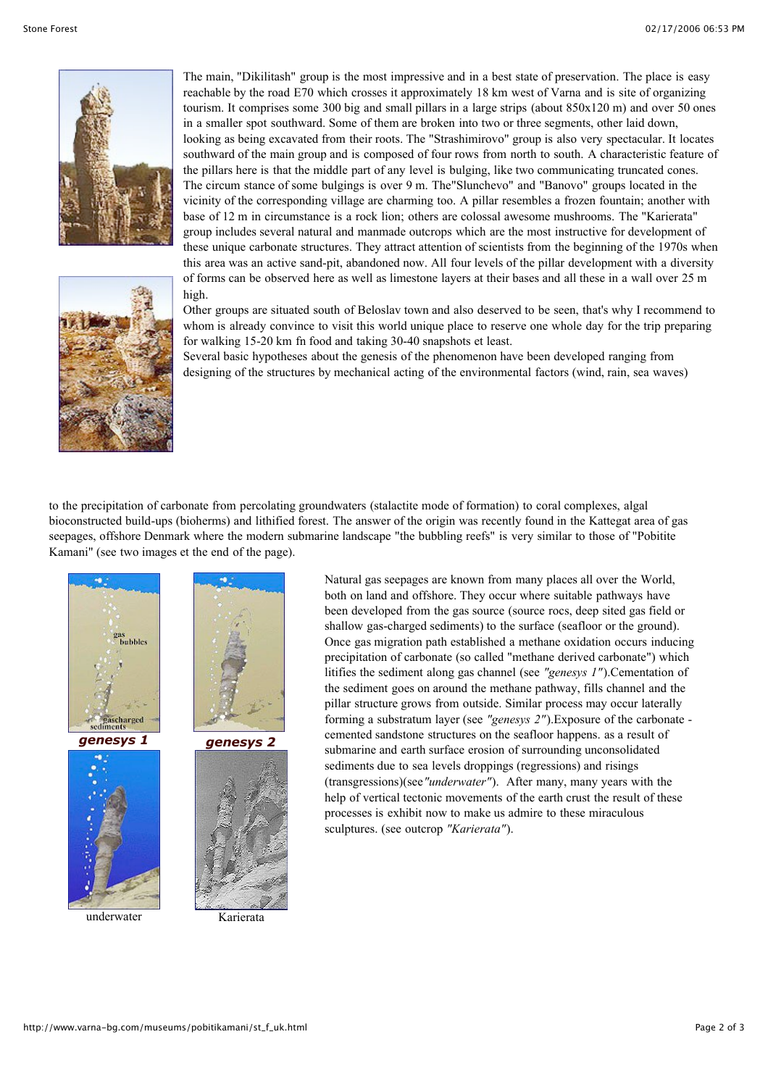



The main, "Dikilitash" group is the most impressive and in a best state of preservation. The place is easy reachable by the road E70 which crosses it approximately 18 km west of Varna and is site of organizing tourism. It comprises some 300 big and small pillars in a large strips (about 850x120 m) and over 50 ones in a smaller spot southward. Some of them are broken into two or three segments, other laid down, looking as being excavated from their roots. The "Strashimirovo" group is also very spectacular. It locates southward of the main group and is composed of four rows from north to south. A characteristic feature of the pillars here is that the middle part of any level is bulging, like two communicating truncated cones. The circum stance of some bulgings is over 9 m. The"Slunchevo" and "Banovo" groups located in the vicinity of the corresponding village are charming too. A pillar resembles a frozen fountain; another with base of 12 m in circumstance is a rock lion; others are colossal awesome mushrooms. The "Karierata" group includes several natural and manmade outcrops which are the most instructive for development of these unique carbonate structures. They attract attention of scientists from the beginning of the 1970s when this area was an active sand-pit, abandoned now. All four levels of the pillar development with a diversity of forms can be observed here as well as limestone layers at their bases and all these in a wall over 25 m high.

Other groups are situated south of Beloslav town and also deserved to be seen, that's why I recommend to whom is already convince to visit this world unique place to reserve one whole day for the trip preparing for walking 15-20 km fn food and taking 30-40 snapshots et least.

Several basic hypotheses about the genesis of the phenomenon have been developed ranging from designing of the structures by mechanical acting of the environmental factors (wind, rain, sea waves)

to the precipitation of carbonate from percolating groundwaters (stalactite mode of formation) to coral complexes, algal bioconstructed build-ups (bioherms) and lithified forest. The answer of the origin was recently found in the Kattegat area of gas seepages, offshore Denmark where the modern submarine landscape "the bubbling reefs" is very similar to those of "Pobitite Kamani" (see two images et the end of the page).



underwater Karierata

Natural gas seepages are known from many places all over the World, both on land and offshore. They occur where suitable pathways have been developed from the gas source (source rocs, deep sited gas field or shallow gas-charged sediments) to the surface (seafloor or the ground). Once gas migration path established a methane oxidation occurs inducing precipitation of carbonate (so called "methane derived carbonate") which litifies the sediment along gas channel (see *"genesys 1"*).Cementation of the sediment goes on around the methane pathway, fills channel and the pillar structure grows from outside. Similar process may occur laterally forming a substratum layer (see *"genesys 2"*).Exposure of the carbonate cemented sandstone structures on the seafloor happens. as a result of submarine and earth surface erosion of surrounding unconsolidated sediments due to sea levels droppings (regressions) and risings (transgressions)(see*"underwater"*). After many, many years with the help of vertical tectonic movements of the earth crust the result of these processes is exhibit now to make us admire to these miraculous sculptures. (see outcrop *"Karierata"*).